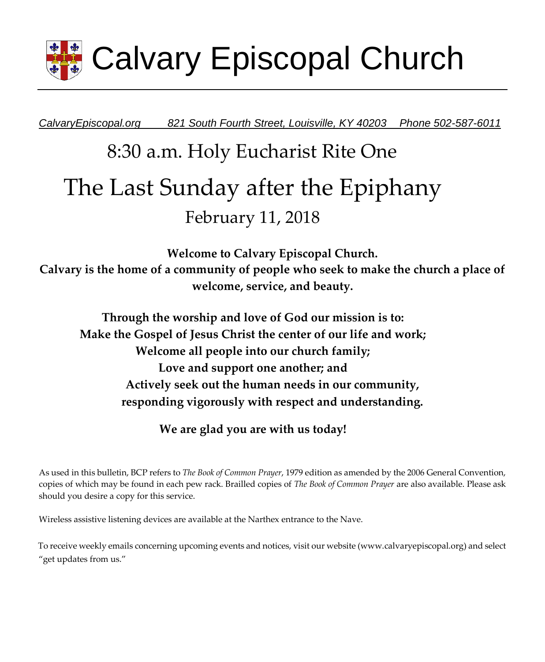

*CalvaryEpiscopal.org 821 South Fourth Street, Louisville, KY 40203 Phone 502-587-6011* 

# 8:30 a.m. Holy Eucharist Rite One The Last Sunday after the Epiphany February 11, 2018

**Welcome to Calvary Episcopal Church. Calvary is the home of a community of people who seek to make the church a place of welcome, service, and beauty.** 

**Through the worship and love of God our mission is to: Make the Gospel of Jesus Christ the center of our life and work; Welcome all people into our church family; Love and support one another; and Actively seek out the human needs in our community, responding vigorously with respect and understanding.**

**We are glad you are with us today!** 

As used in this bulletin, BCP refers to *The Book of Common Prayer*, 1979 edition as amended by the 2006 General Convention, copies of which may be found in each pew rack. Brailled copies of *The Book of Common Prayer* are also available. Please ask should you desire a copy for this service.

Wireless assistive listening devices are available at the Narthex entrance to the Nave.

To receive weekly emails concerning upcoming events and notices, visit our website (www.calvaryepiscopal.org) and select "get updates from us."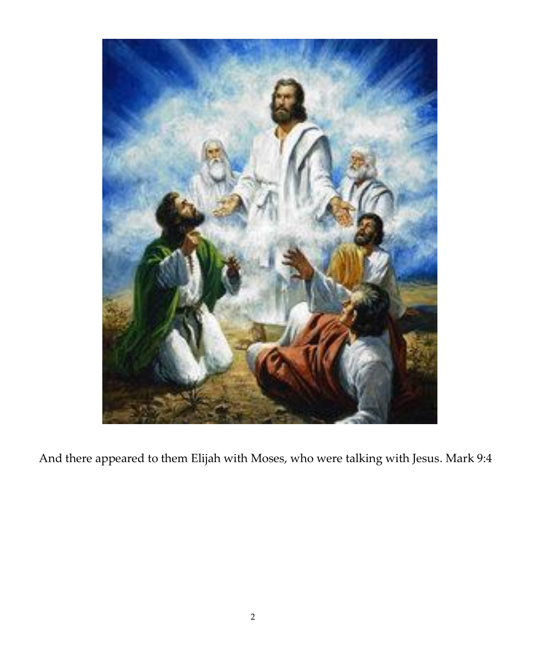

And there appeared to them Elijah with Moses, who were talking with Jesus. Mark 9:4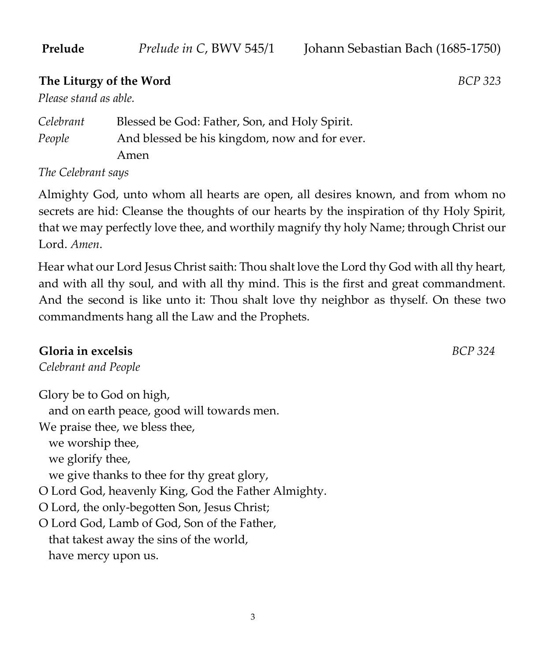### **The Liturgy of the Word** *BCP 323*

*Please stand as able.* 

*Celebrant* Blessed be God: Father, Son, and Holy Spirit. *People* And blessed be his kingdom, now and for ever. Amen

*The Celebrant says* 

Almighty God, unto whom all hearts are open, all desires known, and from whom no secrets are hid: Cleanse the thoughts of our hearts by the inspiration of thy Holy Spirit, that we may perfectly love thee, and worthily magnify thy holy Name; through Christ our Lord. *Amen*.

Hear what our Lord Jesus Christ saith: Thou shalt love the Lord thy God with all thy heart, and with all thy soul, and with all thy mind. This is the first and great commandment. And the second is like unto it: Thou shalt love thy neighbor as thyself. On these two commandments hang all the Law and the Prophets.

### **Gloria in excelsis** *BCP 324*

*Celebrant and People*

Glory be to God on high, and on earth peace, good will towards men. We praise thee, we bless thee, we worship thee, we glorify thee, we give thanks to thee for thy great glory, O Lord God, heavenly King, God the Father Almighty. O Lord, the only-begotten Son, Jesus Christ; O Lord God, Lamb of God, Son of the Father, that takest away the sins of the world, have mercy upon us.

3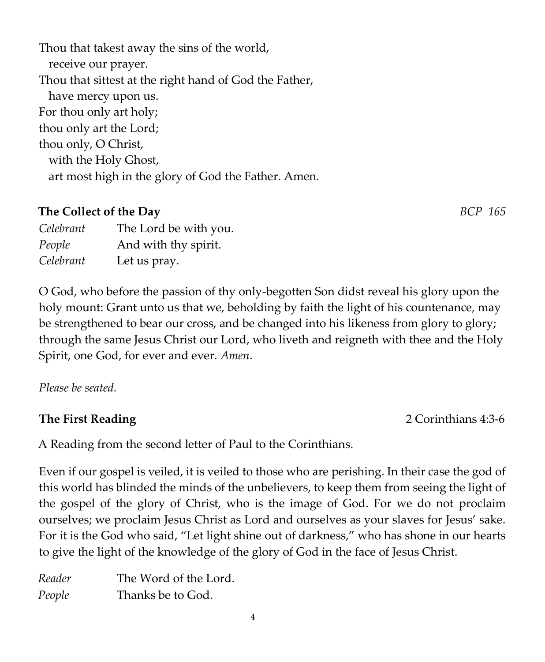4

Thou that takest away the sins of the world, receive our prayer. Thou that sittest at the right hand of God the Father, have mercy upon us. For thou only art holy; thou only art the Lord; thou only, O Christ, with the Holy Ghost, art most high in the glory of God the Father. Amen.

# **The Collect of the Day** *BCP 165*

*Celebrant* The Lord be with you. *People* And with thy spirit. *Celebrant* Let us pray.

O God, who before the passion of thy only-begotten Son didst reveal his glory upon the holy mount: Grant unto us that we, beholding by faith the light of his countenance, may be strengthened to bear our cross, and be changed into his likeness from glory to glory; through the same Jesus Christ our Lord, who liveth and reigneth with thee and the Holy Spirit, one God, for ever and ever. *Amen*.

*Please be seated.* 

# **The First Reading 2 Corinthians 4:3-6**

A Reading from the second letter of Paul to the Corinthians.

Even if our gospel is veiled, it is veiled to those who are perishing. In their case the god of this world has blinded the minds of the unbelievers, to keep them from seeing the light of the gospel of the glory of Christ, who is the image of God. For we do not proclaim ourselves; we proclaim Jesus Christ as Lord and ourselves as your slaves for Jesus' sake. For it is the God who said, "Let light shine out of darkness," who has shone in our hearts to give the light of the knowledge of the glory of God in the face of Jesus Christ.

*Reader* The Word of the Lord. *People* Thanks be to God.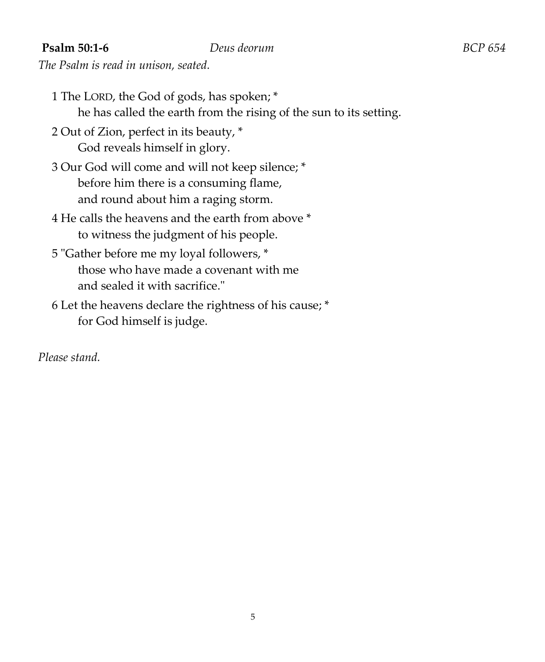### **Psalm 50:1-6** *Deus deorum BCP 654*

*The Psalm is read in unison, seated.* 

- 1 The LORD, the God of gods, has spoken; \* he has called the earth from the rising of the sun to its setting.
- 2 Out of Zion, perfect in its beauty, \* God reveals himself in glory.
- 3 Our God will come and will not keep silence; \* before him there is a consuming flame, and round about him a raging storm.
- 4 He calls the heavens and the earth from above \* to witness the judgment of his people.
- 5 "Gather before me my loyal followers, \* those who have made a covenant with me and sealed it with sacrifice."
- 6 Let the heavens declare the rightness of his cause; \* for God himself is judge.

*Please stand.*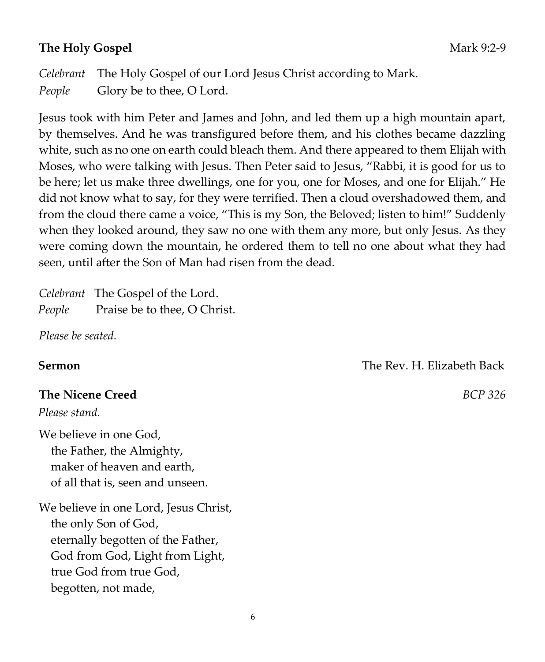### **The Holy Gospel** Mark 9:2-9

*Celebrant* The Holy Gospel of our Lord Jesus Christ according to Mark. *People* Glory be to thee, O Lord.

Jesus took with him Peter and James and John, and led them up a high mountain apart, by themselves. And he was transfigured before them, and his clothes became dazzling white, such as no one on earth could bleach them. And there appeared to them Elijah with Moses, who were talking with Jesus. Then Peter said to Jesus, "Rabbi, it is good for us to be here; let us make three dwellings, one for you, one for Moses, and one for Elijah." He did not know what to say, for they were terrified. Then a cloud overshadowed them, and from the cloud there came a voice, "This is my Son, the Beloved; listen to him!" Suddenly when they looked around, they saw no one with them any more, but only Jesus. As they were coming down the mountain, he ordered them to tell no one about what they had seen, until after the Son of Man had risen from the dead.

*Celebrant* The Gospel of the Lord. *People* Praise be to thee, O Christ.

*Please be seated.* 

### **The Nicene Creed** *BCP 326*

*Please stand.* 

We believe in one God, the Father, the Almighty, maker of heaven and earth, of all that is, seen and unseen.

We believe in one Lord, Jesus Christ, the only Son of God, eternally begotten of the Father, God from God, Light from Light, true God from true God, begotten, not made,

**Sermon** The Rev. H. Elizabeth Back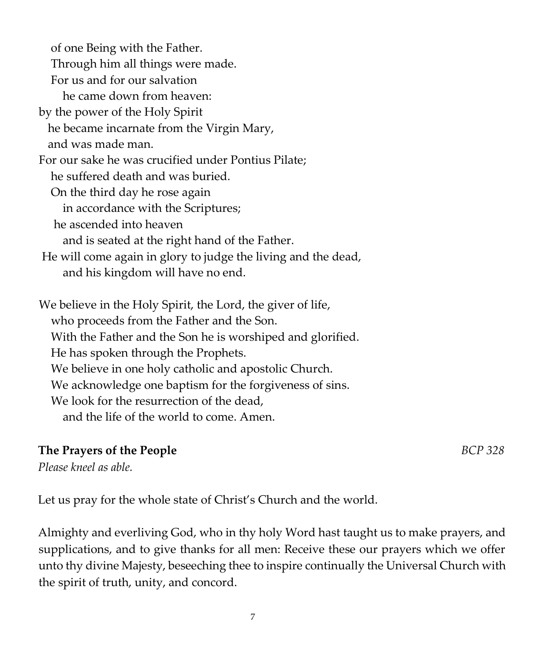of one Being with the Father. Through him all things were made. For us and for our salvation he came down from heaven: by the power of the Holy Spirit he became incarnate from the Virgin Mary, and was made man. For our sake he was crucified under Pontius Pilate; he suffered death and was buried. On the third day he rose again in accordance with the Scriptures; he ascended into heaven and is seated at the right hand of the Father. He will come again in glory to judge the living and the dead, and his kingdom will have no end. We believe in the Holy Spirit, the Lord, the giver of life, who proceeds from the Father and the Son. With the Father and the Son he is worshiped and glorified. He has spoken through the Prophets. We believe in one holy catholic and apostolic Church. We acknowledge one baptism for the forgiveness of sins. We look for the resurrection of the dead, and the life of the world to come. Amen.

### **The Prayers of the People** *BCP 328*

*Please kneel as able.* 

Let us pray for the whole state of Christ's Church and the world.

Almighty and everliving God, who in thy holy Word hast taught us to make prayers, and supplications, and to give thanks for all men: Receive these our prayers which we offer unto thy divine Majesty, beseeching thee to inspire continually the Universal Church with the spirit of truth, unity, and concord.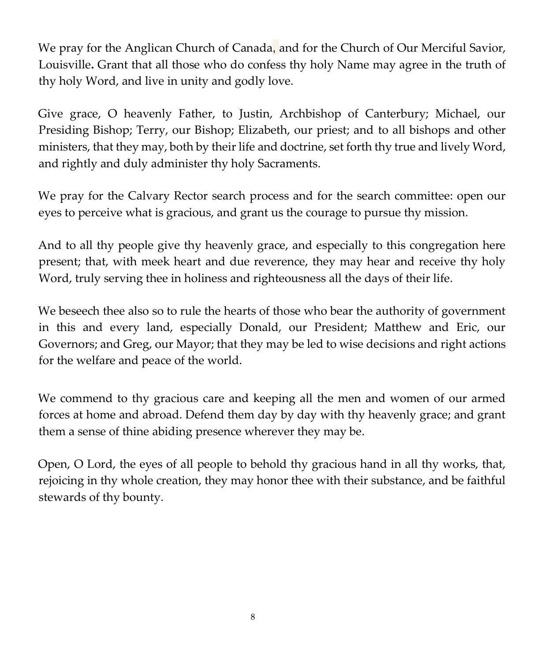We pray for the Anglican Church of Canada, and for the Church of Our Merciful Savior, Louisville**.** Grant that all those who do confess thy holy Name may agree in the truth of thy holy Word, and live in unity and godly love.

Give grace, O heavenly Father, to Justin, Archbishop of Canterbury; Michael, our Presiding Bishop; Terry, our Bishop; Elizabeth, our priest; and to all bishops and other ministers, that they may, both by their life and doctrine, set forth thy true and lively Word, and rightly and duly administer thy holy Sacraments.

We pray for the Calvary Rector search process and for the search committee: open our eyes to perceive what is gracious, and grant us the courage to pursue thy mission.

And to all thy people give thy heavenly grace, and especially to this congregation here present; that, with meek heart and due reverence, they may hear and receive thy holy Word, truly serving thee in holiness and righteousness all the days of their life.

We beseech thee also so to rule the hearts of those who bear the authority of government in this and every land, especially Donald, our President; Matthew and Eric, our Governors; and Greg, our Mayor; that they may be led to wise decisions and right actions for the welfare and peace of the world.

We commend to thy gracious care and keeping all the men and women of our armed forces at home and abroad. Defend them day by day with thy heavenly grace; and grant them a sense of thine abiding presence wherever they may be.

Open, O Lord, the eyes of all people to behold thy gracious hand in all thy works, that, rejoicing in thy whole creation, they may honor thee with their substance, and be faithful stewards of thy bounty.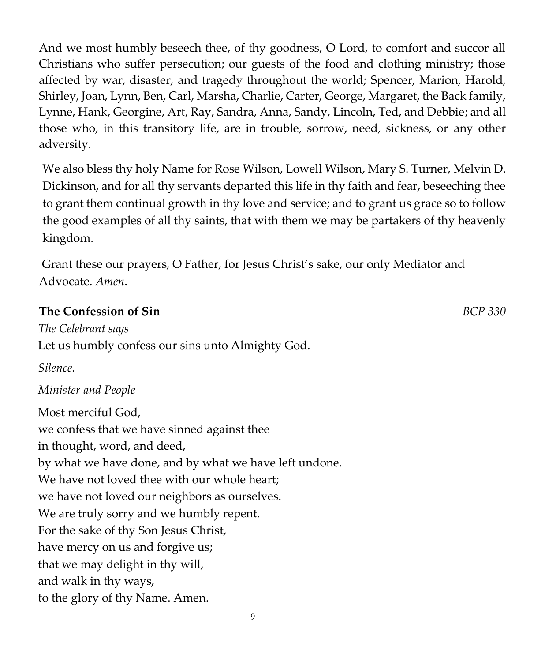And we most humbly beseech thee, of thy goodness, O Lord, to comfort and succor all Christians who suffer persecution; our guests of the food and clothing ministry; those affected by war, disaster, and tragedy throughout the world; Spencer, Marion, Harold, Shirley, Joan, Lynn, Ben, Carl, Marsha, Charlie, Carter, George, Margaret, the Back family, Lynne, Hank, Georgine, Art, Ray, Sandra, Anna, Sandy, Lincoln, Ted, and Debbie; and all those who, in this transitory life, are in trouble, sorrow, need, sickness, or any other adversity.

We also bless thy holy Name for Rose Wilson, Lowell Wilson, Mary S. Turner, Melvin D. Dickinson, and for all thy servants departed this life in thy faith and fear, beseeching thee to grant them continual growth in thy love and service; and to grant us grace so to follow the good examples of all thy saints, that with them we may be partakers of thy heavenly kingdom.

Grant these our prayers, O Father, for Jesus Christ's sake, our only Mediator and Advocate. *Amen*.

### **The Confession of Sin** *BCP 330*

*The Celebrant says*  Let us humbly confess our sins unto Almighty God.

*Silence.* 

### *Minister and People*

Most merciful God, we confess that we have sinned against thee in thought, word, and deed, by what we have done, and by what we have left undone. We have not loved thee with our whole heart; we have not loved our neighbors as ourselves. We are truly sorry and we humbly repent. For the sake of thy Son Jesus Christ, have mercy on us and forgive us; that we may delight in thy will, and walk in thy ways, to the glory of thy Name. Amen.

9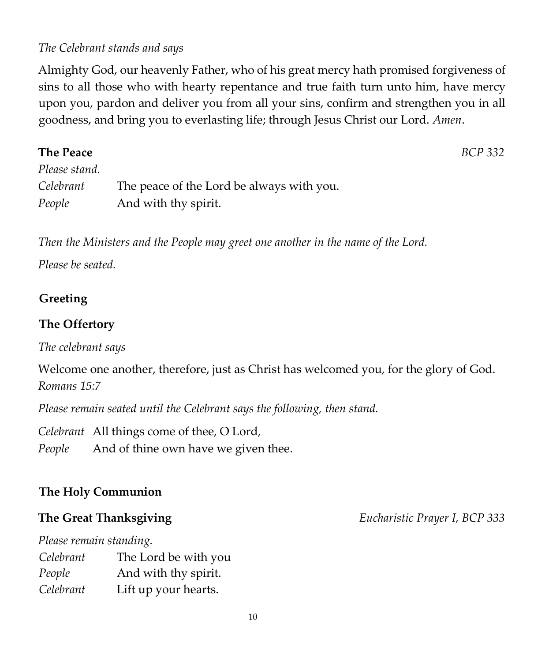### *The Celebrant stands and says*

Almighty God, our heavenly Father, who of his great mercy hath promised forgiveness of sins to all those who with hearty repentance and true faith turn unto him, have mercy upon you, pardon and deliver you from all your sins, confirm and strengthen you in all goodness, and bring you to everlasting life; through Jesus Christ our Lord. *Amen*.

| <b>The Peace</b> |                                           | BCP 332 |
|------------------|-------------------------------------------|---------|
| Please stand.    |                                           |         |
| Celebrant        | The peace of the Lord be always with you. |         |
| People           | And with thy spirit.                      |         |

*Then the Ministers and the People may greet one another in the name of the Lord.* 

*Please be seated.* 

### **Greeting**

### **The Offertory**

*The celebrant says* 

Welcome one another, therefore, just as Christ has welcomed you, for the glory of God. *Romans 15:7* 

*Please remain seated until the Celebrant says the following, then stand.* 

*Celebrant* All things come of thee, O Lord, *People* And of thine own have we given thee.

## **The Holy Communion**

*Please remain standing.* 

| Celebrant | The Lord be with you |
|-----------|----------------------|
| People    | And with thy spirit. |
| Celebrant | Lift up your hearts. |

**The Great Thanksgiving** *Eucharistic Prayer I, BCP 333*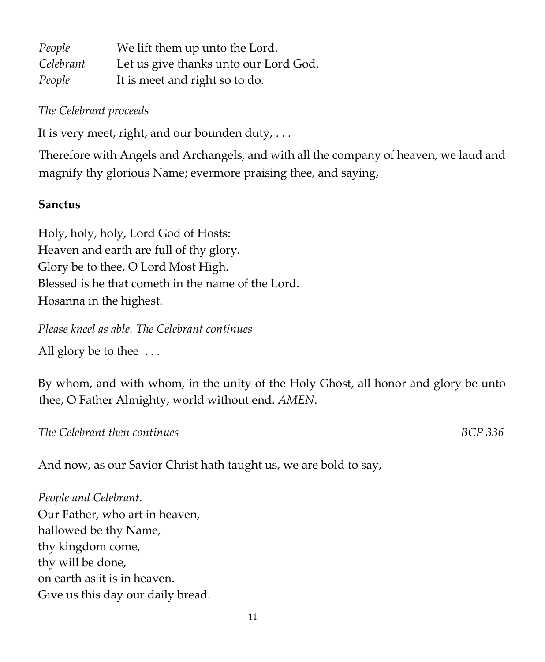| People    | We lift them up unto the Lord.        |
|-----------|---------------------------------------|
| Celebrant | Let us give thanks unto our Lord God. |
| People    | It is meet and right so to do.        |

### *The Celebrant proceeds*

It is very meet, right, and our bounden duty,  $\dots$ 

Therefore with Angels and Archangels, and with all the company of heaven, we laud and magnify thy glorious Name; evermore praising thee, and saying,

### **Sanctus**

Holy, holy, holy, Lord God of Hosts: Heaven and earth are full of thy glory. Glory be to thee, O Lord Most High. Blessed is he that cometh in the name of the Lord. Hosanna in the highest.

*Please kneel as able. The Celebrant continues* 

All glory be to thee ...

By whom, and with whom, in the unity of the Holy Ghost, all honor and glory be unto thee, O Father Almighty, world without end. *AMEN*.

*The Celebrant then continues BCP 336* 

And now, as our Savior Christ hath taught us, we are bold to say,

*People and Celebrant.*  Our Father, who art in heaven, hallowed be thy Name, thy kingdom come, thy will be done, on earth as it is in heaven. Give us this day our daily bread.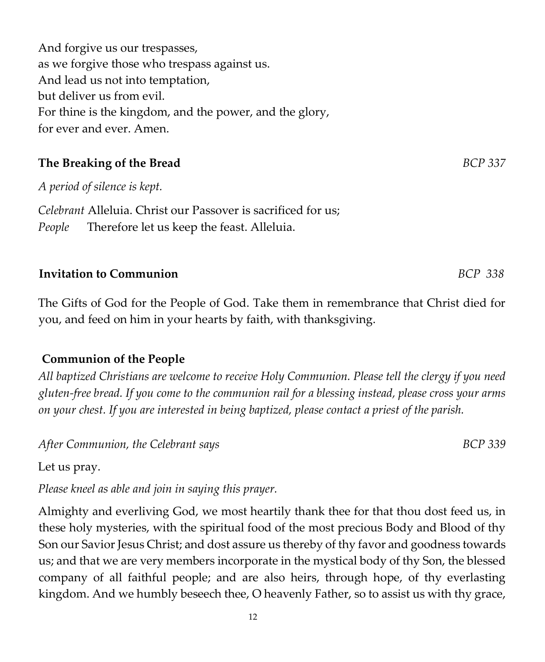And forgive us our trespasses, as we forgive those who trespass against us. And lead us not into temptation, but deliver us from evil. For thine is the kingdom, and the power, and the glory, for ever and ever. Amen.

# **The Breaking of the Bread** *BCP 337*

*A period of silence is kept.* 

*Celebrant* Alleluia. Christ our Passover is sacrificed for us; *People* Therefore let us keep the feast. Alleluia.

## **Invitation to Communion** *BCP 338*

The Gifts of God for the People of God. Take them in remembrance that Christ died for you, and feed on him in your hearts by faith, with thanksgiving.

## **Communion of the People**

*All baptized Christians are welcome to receive Holy Communion. Please tell the clergy if you need gluten-free bread. If you come to the communion rail for a blessing instead, please cross your arms on your chest. If you are interested in being baptized, please contact a priest of the parish.* 

After Communion, the Celebrant says **BCP** 339

Let us pray.

*Please kneel as able and join in saying this prayer.* 

Almighty and everliving God, we most heartily thank thee for that thou dost feed us, in these holy mysteries, with the spiritual food of the most precious Body and Blood of thy Son our Savior Jesus Christ; and dost assure us thereby of thy favor and goodness towards us; and that we are very members incorporate in the mystical body of thy Son, the blessed company of all faithful people; and are also heirs, through hope, of thy everlasting kingdom. And we humbly beseech thee, O heavenly Father, so to assist us with thy grace,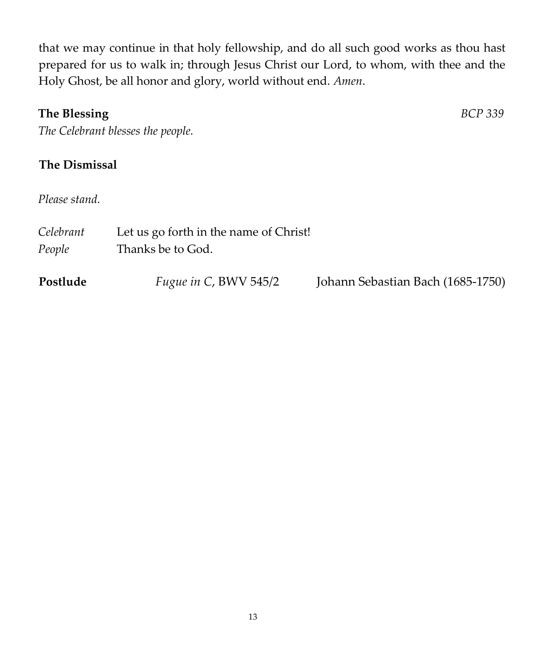that we may continue in that holy fellowship, and do all such good works as thou hast prepared for us to walk in; through Jesus Christ our Lord, to whom, with thee and the Holy Ghost, be all honor and glory, world without end. *Amen*.

### **The Blessing** *BCP 339*

*The Celebrant blesses the people.* 

## **The Dismissal**

*Please stand.* 

| Celebrant<br>People | Let us go forth in the name of Christ!<br>Thanks be to God. |                                   |
|---------------------|-------------------------------------------------------------|-----------------------------------|
| Postlude            | <i>Fugue in C, BWV 545/2</i>                                | Johann Sebastian Bach (1685-1750) |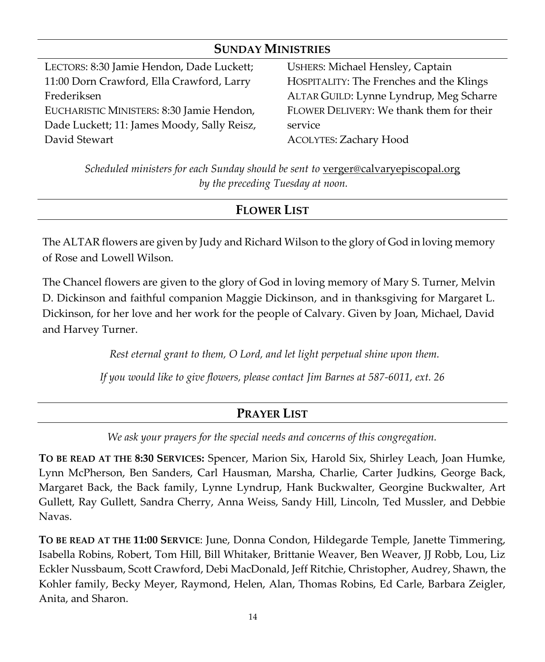| <b>SUNDAY MINISTRIES</b>                    |                                          |  |  |
|---------------------------------------------|------------------------------------------|--|--|
| LECTORS: 8:30 Jamie Hendon, Dade Luckett;   | <b>USHERS: Michael Hensley, Captain</b>  |  |  |
| 11:00 Dorn Crawford, Ella Crawford, Larry   | HOSPITALITY: The Frenches and the Klings |  |  |
| Frederiksen                                 | ALTAR GUILD: Lynne Lyndrup, Meg Scharre  |  |  |
| EUCHARISTIC MINISTERS: 8:30 Jamie Hendon,   | FLOWER DELIVERY: We thank them for their |  |  |
| Dade Luckett; 11: James Moody, Sally Reisz, | service                                  |  |  |
| David Stewart                               | <b>ACOLYTES: Zachary Hood</b>            |  |  |

*Scheduled ministers for each Sunday should be sent to* <u>[verger@calvaryepiscopal.org](mailto:verger@calvaryepiscopal.org)</u> *by the preceding Tuesday at noon.*

### **FLOWER LIST**

The ALTAR flowers are given by Judy and Richard Wilson to the glory of God in loving memory of Rose and Lowell Wilson.

The Chancel flowers are given to the glory of God in loving memory of Mary S. Turner, Melvin D. Dickinson and faithful companion Maggie Dickinson, and in thanksgiving for Margaret L. Dickinson, for her love and her work for the people of Calvary. Given by Joan, Michael, David and Harvey Turner.

*Rest eternal grant to them, O Lord, and let light perpetual shine upon them.*

*If you would like to give flowers, please contact Jim Barnes at 587-6011, ext. 26*

## **PRAYER LIST**

*We ask your prayers for the special needs and concerns of this congregation.*

**TO BE READ AT THE 8:30 SERVICES:** Spencer, Marion Six, Harold Six, Shirley Leach, Joan Humke, Lynn McPherson, Ben Sanders, Carl Hausman, Marsha, Charlie, Carter Judkins, George Back, Margaret Back, the Back family, Lynne Lyndrup, Hank Buckwalter, Georgine Buckwalter, Art Gullett, Ray Gullett, Sandra Cherry, Anna Weiss, Sandy Hill, Lincoln, Ted Mussler, and Debbie Navas.

**TO BE READ AT THE 11:00 SERVICE**: June, Donna Condon, Hildegarde Temple, Janette Timmering, Isabella Robins, Robert, Tom Hill, Bill Whitaker, Brittanie Weaver, Ben Weaver, JJ Robb, Lou, Liz Eckler Nussbaum, Scott Crawford, Debi MacDonald, Jeff Ritchie, Christopher, Audrey, Shawn, the Kohler family, Becky Meyer, Raymond, Helen, Alan, Thomas Robins, Ed Carle, Barbara Zeigler, Anita, and Sharon.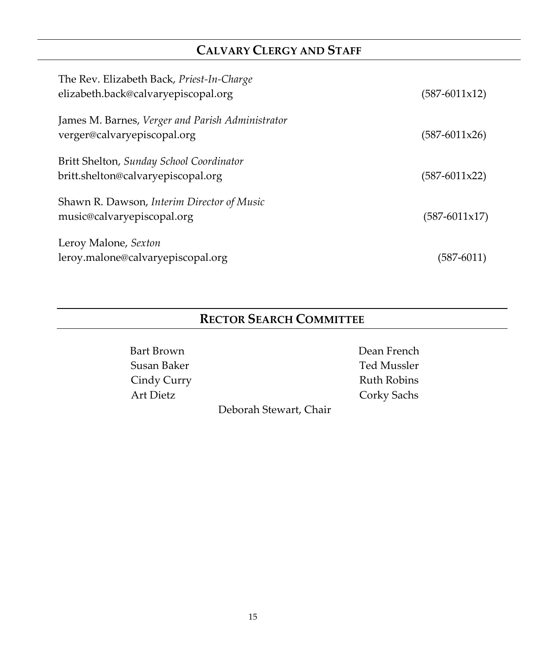# **CALVARY CLERGY AND STAFF**

| The Rev. Elizabeth Back, Priest-In-Charge<br>elizabeth.back@calvaryepiscopal.org | $(587-6011x12)$          |
|----------------------------------------------------------------------------------|--------------------------|
| James M. Barnes, Verger and Parish Administrator<br>verger@calvaryepiscopal.org  | $(587-6011x26)$          |
| Britt Shelton, Sunday School Coordinator<br>britt.shelton@calvaryepiscopal.org   | $(587-6011x22)$          |
| Shawn R. Dawson, Interim Director of Music<br>music@calvaryepiscopal.org         | $(587 - 6011 \times 17)$ |
| Leroy Malone, Sexton<br>leroy.malone@calvaryepiscopal.org                        | (587-6011)               |

# **RECTOR SEARCH COMMITTEE**

Bart Brown Dean French Susan Baker Ted Mussler Cindy Curry **Ruth Robins** Art Dietz Corky Sachs

Deborah Stewart, Chair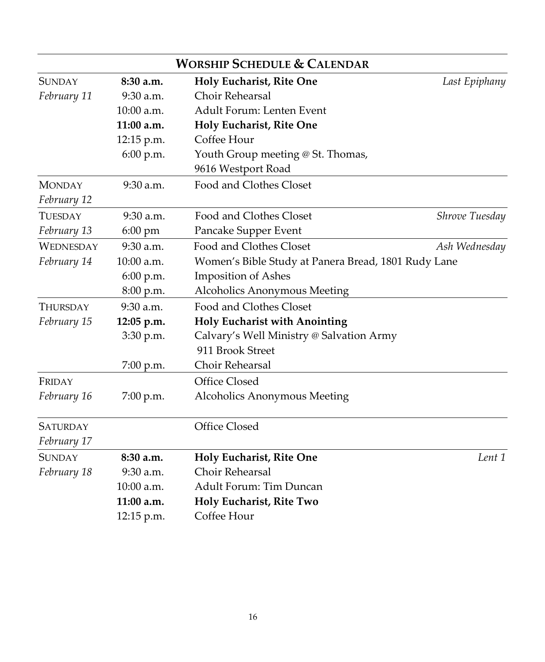|                                                                                    |             | <b>WORSHIP SCHEDULE &amp; CALENDAR</b>   |                |
|------------------------------------------------------------------------------------|-------------|------------------------------------------|----------------|
| <b>SUNDAY</b>                                                                      | 8:30 a.m.   | Holy Eucharist, Rite One                 | Last Epiphany  |
| February 11                                                                        | 9:30 a.m.   | <b>Choir Rehearsal</b>                   |                |
|                                                                                    | 10:00 a.m.  | Adult Forum: Lenten Event                |                |
|                                                                                    | 11:00 a.m.  | Holy Eucharist, Rite One                 |                |
|                                                                                    | 12:15 p.m.  | Coffee Hour                              |                |
|                                                                                    | 6:00 p.m.   | Youth Group meeting @ St. Thomas,        |                |
|                                                                                    |             | 9616 Westport Road                       |                |
| <b>MONDAY</b>                                                                      | $9:30$ a.m. | Food and Clothes Closet                  |                |
| February 12                                                                        |             |                                          |                |
| <b>TUESDAY</b>                                                                     | $9:30$ a.m. | Food and Clothes Closet                  | Shrove Tuesday |
| February 13                                                                        | 6:00 pm     | Pancake Supper Event                     |                |
| <b>WEDNESDAY</b>                                                                   | $9:30$ a.m. | Food and Clothes Closet                  | Ash Wednesday  |
| Women's Bible Study at Panera Bread, 1801 Rudy Lane<br>February 14<br>$10:00$ a.m. |             |                                          |                |
|                                                                                    | 6:00 p.m.   | Imposition of Ashes                      |                |
|                                                                                    | 8:00 p.m.   | Alcoholics Anonymous Meeting             |                |
| <b>THURSDAY</b>                                                                    | $9:30$ a.m. | Food and Clothes Closet                  |                |
| February 15                                                                        | 12:05 p.m.  | <b>Holy Eucharist with Anointing</b>     |                |
|                                                                                    | 3:30 p.m.   | Calvary's Well Ministry @ Salvation Army |                |
|                                                                                    |             | 911 Brook Street                         |                |
|                                                                                    | $7:00$ p.m. | Choir Rehearsal                          |                |
| FRIDAY                                                                             |             | <b>Office Closed</b>                     |                |
| February 16                                                                        | 7:00 p.m.   | Alcoholics Anonymous Meeting             |                |
| <b>SATURDAY</b>                                                                    |             | <b>Office Closed</b>                     |                |
| February 17                                                                        |             |                                          |                |
| <b>SUNDAY</b>                                                                      | 8:30 a.m.   | Holy Eucharist, Rite One                 | Lent 1         |
| February 18                                                                        | 9:30 a.m.   | Choir Rehearsal                          |                |
|                                                                                    | 10:00 a.m.  | <b>Adult Forum: Tim Duncan</b>           |                |
|                                                                                    | 11:00 a.m.  | Holy Eucharist, Rite Two                 |                |
|                                                                                    | 12:15 p.m.  | Coffee Hour                              |                |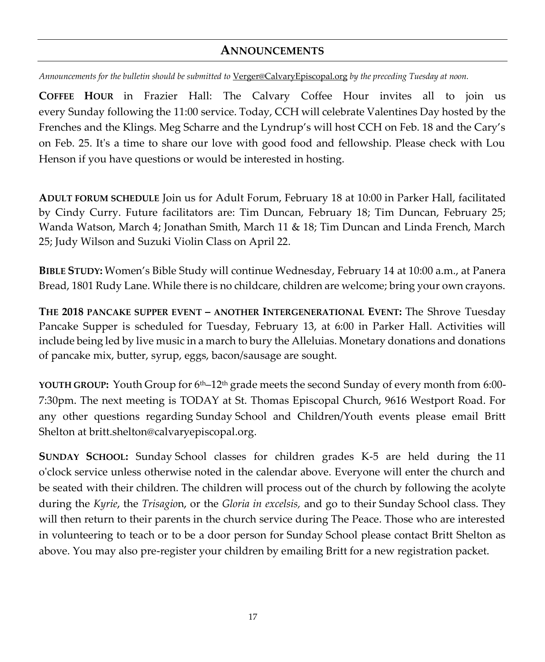### **ANNOUNCEMENTS**

*Announcements for the bulletin should be submitted to* [Verger@CalvaryEpiscopal.org](mailto:Verger@CalvaryEpiscopal.org) *by the preceding Tuesday at noon.* 

**COFFEE HOUR** in Frazier Hall: The Calvary Coffee Hour invites all to join us every Sunday following the 11:00 service. Today, CCH will celebrate Valentines Day hosted by the Frenches and the Klings. Meg Scharre and the Lyndrup's will host CCH on Feb. 18 and the Cary's on Feb. 25. It's a time to share our love with good food and fellowship. Please check with Lou Henson if you have questions or would be interested in hosting.

**ADULT FORUM SCHEDULE** Join us for Adult Forum, February 18 at 10:00 in Parker Hall, facilitated by Cindy Curry. Future facilitators are: Tim Duncan, February 18; Tim Duncan, February 25; Wanda Watson, March 4; Jonathan Smith, March 11 & 18; Tim Duncan and Linda French, March 25; Judy Wilson and Suzuki Violin Class on April 22.

**BIBLE STUDY:** Women's Bible Study will continue Wednesday, February 14 at 10:00 a.m., at Panera Bread, 1801 Rudy Lane. While there is no childcare, children are welcome; bring your own crayons.

**THE 2018 PANCAKE SUPPER EVENT – ANOTHER INTERGENERATIONAL EVENT:** The Shrove Tuesday Pancake Supper is scheduled for Tuesday, February 13, at 6:00 in Parker Hall. Activities will include being led by live music in a march to bury the Alleluias. Monetary donations and donations of pancake mix, butter, syrup, eggs, bacon/sausage are sought.

**YOUTH GROUP:** Youth Group for 6th–12th grade meets the second Sunday of every month from 6:00- 7:30pm. The next meeting is TODAY at St. Thomas Episcopal Church, 9616 Westport Road. For any other questions regarding Sunday School and Children/Youth events please email Britt Shelton at [britt.shelton@calvaryepiscopal.org.](mailto:britt.shelton@calvaryepiscopal.org)

**SUNDAY SCHOOL:** Sunday School classes for children grades K-5 are held during the 11 o'clock service unless otherwise noted in the calendar above. Everyone will enter the church and be seated with their children. The children will process out of the church by following the acolyte during the *Kyrie*, the *Trisagio*n, or the *Gloria in excelsis,* and go to their Sunday School class. They will then return to their parents in the church service during The Peace. Those who are interested in volunteering to teach or to be a door person for Sunday School please contact Britt Shelton as above. You may also pre-register your children by emailing Britt for a new registration packet.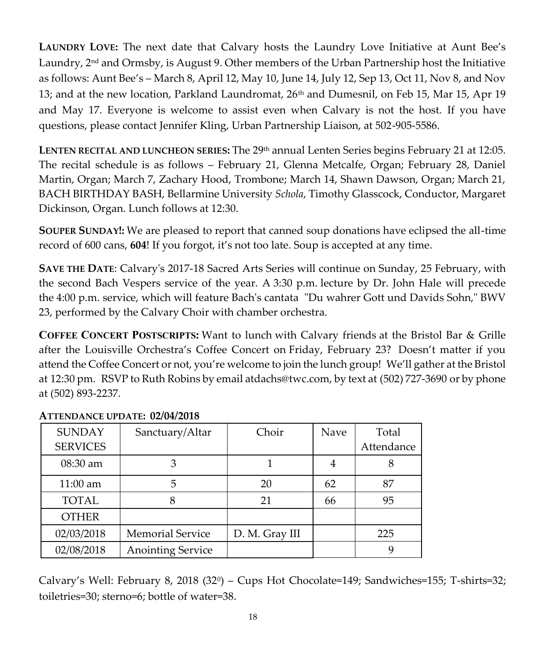**LAUNDRY LOVE:** The next date that Calvary hosts the Laundry Love Initiative at Aunt Bee's Laundry,  $2<sup>nd</sup>$  and Ormsby, is August 9. Other members of the Urban Partnership host the Initiative as follows: Aunt Bee's – March 8, April 12, May 10, June 14, July 12, Sep 13, Oct 11, Nov 8, and Nov 13; and at the new location, Parkland Laundromat, 26<sup>th</sup> and Dumesnil, on Feb 15, Mar 15, Apr 19 and May 17. Everyone is welcome to assist even when Calvary is not the host. If you have questions, please contact Jennifer Kling, Urban Partnership Liaison, at 502-905-5586.

**LENTEN RECITAL AND LUNCHEON SERIES:** The 29th annual Lenten Series begins February 21 at 12:05. The recital schedule is as follows – February 21, Glenna Metcalfe, Organ; February 28, Daniel Martin, Organ; March 7, Zachary Hood, Trombone; March 14, Shawn Dawson, Organ; March 21, BACH BIRTHDAY BASH, Bellarmine University *Schola*, Timothy Glasscock, Conductor, Margaret Dickinson, Organ. Lunch follows at 12:30.

**SOUPER SUNDAY!:** We are pleased to report that canned soup donations have eclipsed the all-time record of 600 cans, **604**! If you forgot, it's not too late. Soup is accepted at any time.

**SAVE THE DATE**: Calvary's 2017-18 Sacred Arts Series will continue on Sunday, 25 February, with the second Bach Vespers service of the year. A 3:30 p.m. lecture by Dr. John Hale will precede the 4:00 p.m. service, which will feature Bach's cantata "Du wahrer Gott und Davids Sohn," BWV 23, performed by the Calvary Choir with chamber orchestra.

**COFFEE CONCERT POSTSCRIPTS:** Want to lunch with Calvary friends at the Bristol Bar & Grille after the Louisville Orchestra's Coffee Concert on Friday, February 23? Doesn't matter if you attend the Coffee Concert or not, you're welcome to join the lunch group! We'll gather at the Bristol at 12:30 pm. RSVP to Ruth Robins by email a[tdachs@twc.com,](mailto:dachs@twc.com) by text at [\(502\) 727-3690](tel:(502)%20727-3690) or by phone at [\(502\) 893-2237.](tel:(502)%20893-2237)

| <b>SUNDAY</b>   | Sanctuary/Altar          | Choir          | Nave | Total      |
|-----------------|--------------------------|----------------|------|------------|
| <b>SERVICES</b> |                          |                |      | Attendance |
| $08:30$ am      |                          |                |      |            |
| $11:00$ am      | 5                        | 20             | 62   | 87         |
| <b>TOTAL</b>    |                          | 21             | 66   | 95         |
| <b>OTHER</b>    |                          |                |      |            |
| 02/03/2018      | <b>Memorial Service</b>  | D. M. Gray III |      | 225        |
| 02/08/2018      | <b>Anointing Service</b> |                |      |            |

### **ATTENDANCE UPDATE: 02/04/2018**

Calvary's Well: February 8, 2018 (32<sup>0</sup> ) – Cups Hot Chocolate=149; Sandwiches=155; T-shirts=32; toiletries=30; sterno=6; bottle of water=38.